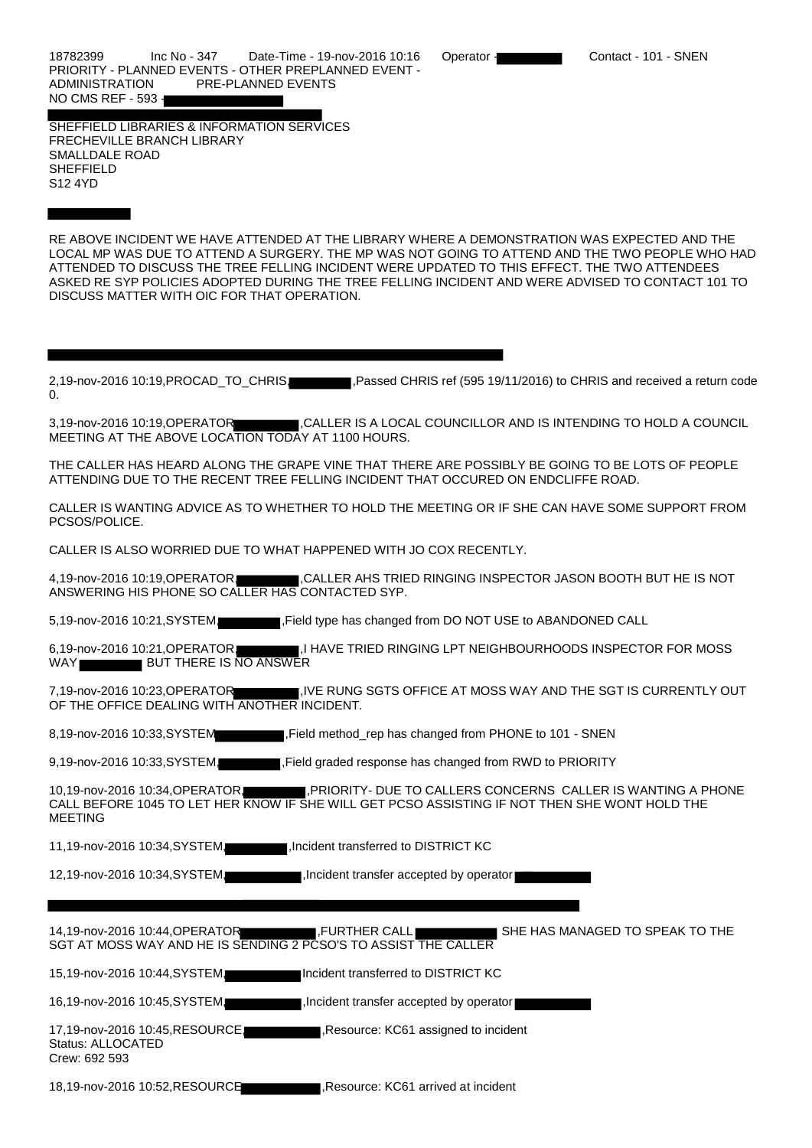18782399 Inc No - 347 Date-Time - 19-nov-2016 10:16 Operator - Contact - 101 - SNEN PRIORITY - PLANNED EVENTS - OTHER PREPLANNED EVENT - ADMINISTRATION PRE-PLANNED EVENTS NO CMS REF - 593 -

SHEFFIELD LIBRARIES & INFORMATION SERVICES FRECHEVILLE BRANCH LIBRARY SMALLDALE ROAD **SHEFFIELD** S12 4YD

RE ABOVE INCIDENT WE HAVE ATTENDED AT THE LIBRARY WHERE A DEMONSTRATION WAS EXPECTED AND THE LOCAL MP WAS DUE TO ATTEND A SURGERY. THE MP WAS NOT GOING TO ATTEND AND THE TWO PEOPLE WHO HAD ATTENDED TO DISCUSS THE TREE FELLING INCIDENT WERE UPDATED TO THIS EFFECT. THE TWO ATTENDEES ASKED RE SYP POLICIES ADOPTED DURING THE TREE FELLING INCIDENT AND WERE ADVISED TO CONTACT 101 TO DISCUSS MATTER WITH OIC FOR THAT OPERATION.

2,19-nov-2016 10:19,PROCAD\_TO\_CHRIS, Rassed CHRIS ref (595 19/11/2016) to CHRIS and received a return code 0.

3,19-nov-2016 10:19,OPERATOR ,CALLER IS A LOCAL COUNCILLOR AND IS INTENDING TO HOLD A COUNCIL MEETING AT THE ABOVE LOCATION TODAY AT 1100 HOURS.

THE CALLER HAS HEARD ALONG THE GRAPE VINE THAT THERE ARE POSSIBLY BE GOING TO BE LOTS OF PEOPLE ATTENDING DUE TO THE RECENT TREE FELLING INCIDENT THAT OCCURED ON ENDCLIFFE ROAD.

CALLER IS WANTING ADVICE AS TO WHETHER TO HOLD THE MEETING OR IF SHE CAN HAVE SOME SUPPORT FROM PCSOS/POLICE.

CALLER IS ALSO WORRIED DUE TO WHAT HAPPENED WITH JO COX RECENTLY.

4,19-nov-2016 10:19, OPERATOR, CALLER AHS TRIED RINGING INSPECTOR JASON BOOTH BUT HE IS NOT ANSWERING HIS PHONE SO CALLER HAS CONTACTED SYP.

5,19-nov-2016 10:21, SYSTEM, Field type has changed from DO NOT USE to ABANDONED CALL

6,19-nov-2016 10:21, OPERATOR, I HAVE TRIED RINGING LPT NEIGHBOURHOODS INSPECTOR FOR MOSS WAY BUT THERE IS NO ANSWER

7,19-nov-2016 10:23,OPERATOR ,IVE RUNG SGTS OFFICE AT MOSS WAY AND THE SGT IS CURRENTLY OUT OF THE OFFICE DEALING WITH ANOTHER INCIDENT.

8,19-nov-2016 10:33,SYSTEM ,Field method\_rep has changed from PHONE to 101 - SNEN

9,19-nov-2016 10:33,SYSTEM, Field graded response has changed from RWD to PRIORITY

10,19-nov-2016 10:34, OPERATOR, REPORT THE TO CALLERS CONCERNS CALLER IS WANTING A PHONE CALL BEFORE 1045 TO LET HER KNOW IF SHE WILL GET PCSO ASSISTING IF NOT THEN SHE WONT HOLD THE MEETING

11,19-nov-2016 10:34, SYSTEM, ,Incident transferred to DISTRICT KC

12,19-nov-2016 10:34, SYSTEM, , and , Incident transfer accepted by operator

14,19-nov-2016 10:44, OPERATOR , FURTHER CALL SHE HAS MANAGED TO SPEAK TO THE SGT AT MOSS WAY AND HE IS SENDING 2 PCSO'S TO ASSIST THE CALLER

15,19-nov-2016 10:44,SYSTEM, Incident transferred to DISTRICT KC

16,19-nov-2016 10:45, SYSTEM, , and , Incident transfer accepted by operator

17,19-nov-2016 10:45, RESOURCE, ,Resource: KC61 assigned to incident Status: ALLOCATED Crew: 692 593

18,19-nov-2016 10:52,RESOURCE ,Resource: KC61 arrived at incident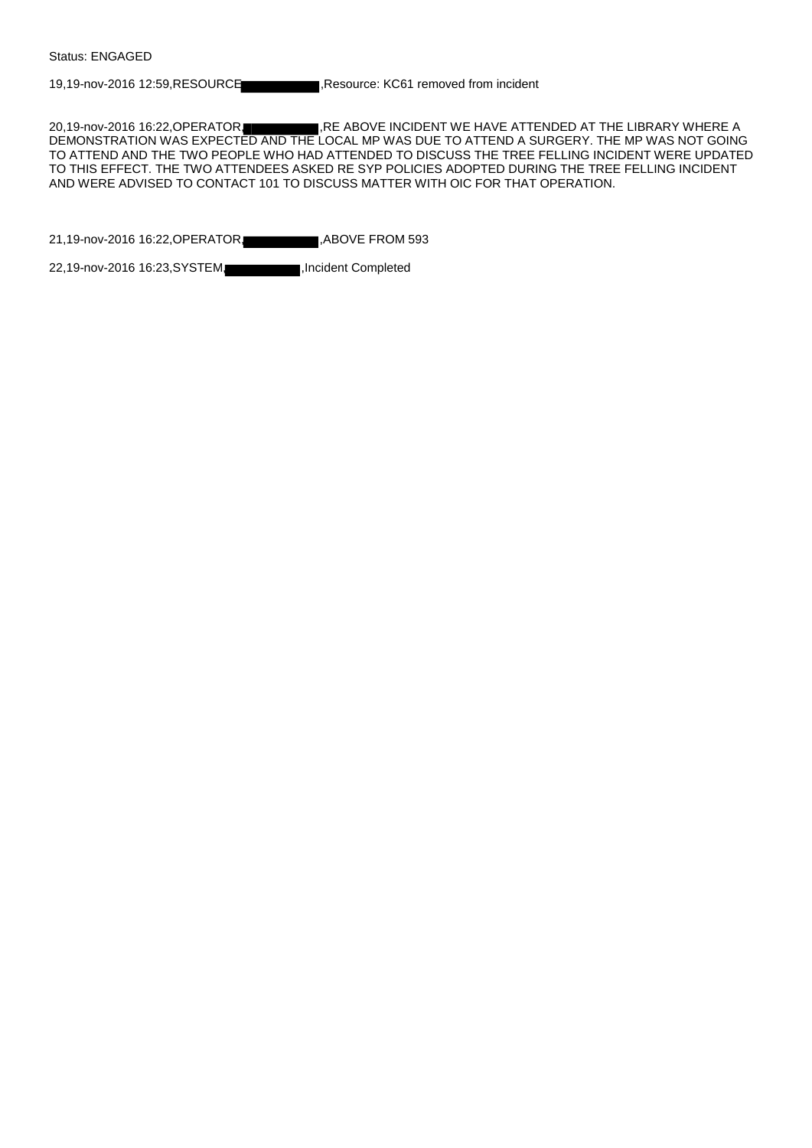19,19-nov-2016 12:59,RESOURCE ,Resource: KC61 removed from incident

20,19-nov-2016 16:22, OPERATOR, RE ABOVE INCIDENT WE HAVE ATTENDED AT THE LIBRARY WHERE A DEMONSTRATION WAS EXPECTED AND THE LOCAL MP WAS DUE TO ATTEND A SURGERY. THE MP WAS NOT GOING TO ATTEND AND THE TWO PEOPLE WHO HAD ATTENDED TO DISCUSS THE TREE FELLING INCIDENT WERE UPDATED TO THIS EFFECT. THE TWO ATTENDEES ASKED RE SYP POLICIES ADOPTED DURING THE TREE FELLING INCIDENT AND WERE ADVISED TO CONTACT 101 TO DISCUSS MATTER WITH OIC FOR THAT OPERATION.

21,19-nov-2016 16:22, OPERATOR, ABOVE FROM 593

22,19-nov-2016 16:23, SYSTEM, ,Incident Completed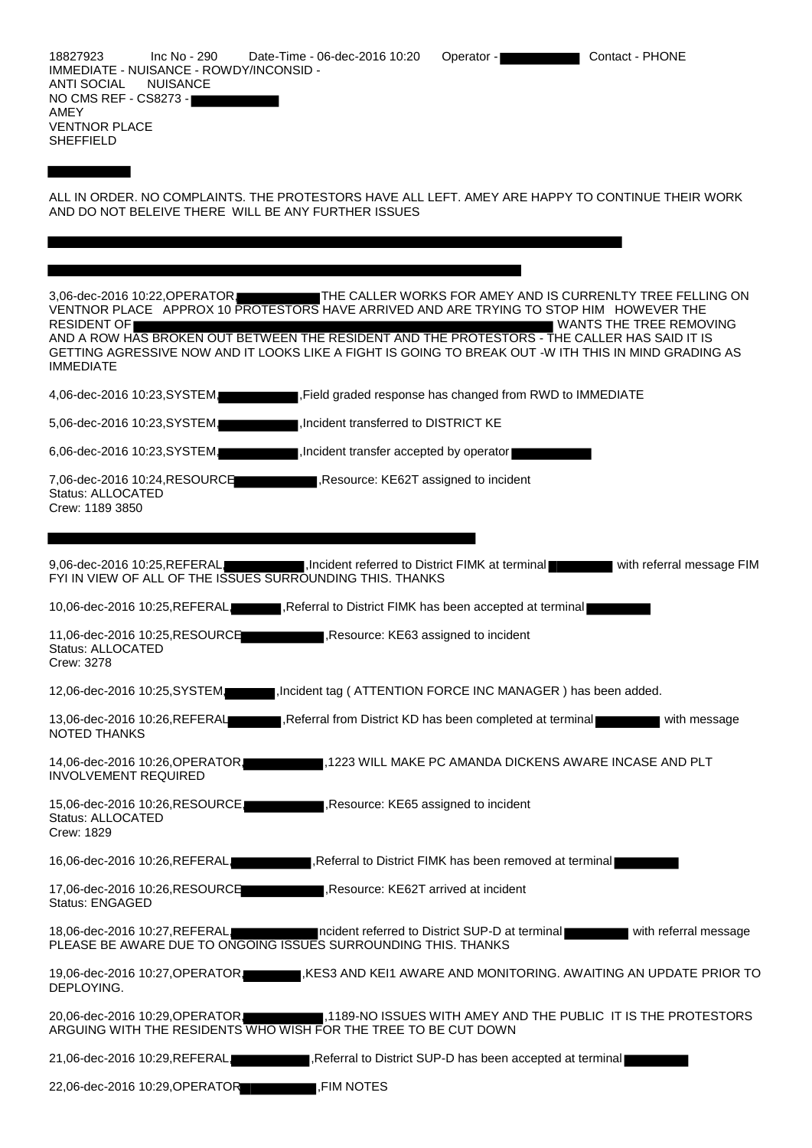| Inc No - 290<br>18827923<br>Date-Time - 06-dec-2016 10:20<br>IMMEDIATE - NUISANCE - ROWDY/INCONSID -<br>ANTI SOCIAL<br><b>NUISANCE</b><br>NO CMS REF - CS8273 -<br>AMEY<br><b>VENTNOR PLACE</b><br><b>SHEFFIELD</b>                                                                                                                                                       |                                        | Operator -                                                  | Contact - PHONE                                                                       |
|---------------------------------------------------------------------------------------------------------------------------------------------------------------------------------------------------------------------------------------------------------------------------------------------------------------------------------------------------------------------------|----------------------------------------|-------------------------------------------------------------|---------------------------------------------------------------------------------------|
| ALL IN ORDER. NO COMPLAINTS. THE PROTESTORS HAVE ALL LEFT. AMEY ARE HAPPY TO CONTINUE THEIR WORK<br>AND DO NOT BELEIVE THERE WILL BE ANY FURTHER ISSUES                                                                                                                                                                                                                   |                                        |                                                             |                                                                                       |
|                                                                                                                                                                                                                                                                                                                                                                           |                                        |                                                             |                                                                                       |
|                                                                                                                                                                                                                                                                                                                                                                           |                                        |                                                             |                                                                                       |
| 3,06-dec-2016 10:22, OPERATOR<br>VENTNOR PLACE APPROX 10 PROTESTORS HAVE ARRIVED AND ARE TRYING TO STOP HIM HOWEVER THE<br><b>RESIDENT OF</b><br>AND A ROW HAS BROKEN OUT BETWEEN THE RESIDENT AND THE PROTESTORS - THE CALLER HAS SAID IT IS<br>GETTING AGRESSIVE NOW AND IT LOOKS LIKE A FIGHT IS GOING TO BREAK OUT -W ITH THIS IN MIND GRADING AS<br><b>IMMEDIATE</b> |                                        |                                                             | THE CALLER WORKS FOR AMEY AND IS CURRENLTY TREE FELLING ON<br>WANTS THE TREE REMOVING |
| 4,06-dec-2016 10:23, SYSTEM                                                                                                                                                                                                                                                                                                                                               |                                        | Field graded response has changed from RWD to IMMEDIATE     |                                                                                       |
| 5,06-dec-2016 10:23, SYSTEM,                                                                                                                                                                                                                                                                                                                                              | Incident transferred to DISTRICT KE.   |                                                             |                                                                                       |
| 6,06-dec-2016 10:23, SYSTEM                                                                                                                                                                                                                                                                                                                                               | Incident transfer accepted by operator |                                                             |                                                                                       |
| 7,06-dec-2016 10:24, RESOURCE<br>Status: ALLOCATED<br>Crew: 1189 3850                                                                                                                                                                                                                                                                                                     | Resource: KE62T assigned to incident   |                                                             |                                                                                       |
|                                                                                                                                                                                                                                                                                                                                                                           |                                        |                                                             |                                                                                       |
| 9,06-dec-2016 10:25, REFERAL,<br>FYI IN VIEW OF ALL OF THE ISSUES SURROUNDING THIS. THANKS                                                                                                                                                                                                                                                                                |                                        | Incident referred to District FIMK at terminal              | with referral message FIM                                                             |
| 10,06-dec-2016 10:25, REFERAL                                                                                                                                                                                                                                                                                                                                             |                                        | Referral to District FIMK has been accepted at terminal     |                                                                                       |
| 11,06-dec-2016 10:25, RESOURCE<br>Status: ALLOCATED<br>Crew: 3278                                                                                                                                                                                                                                                                                                         | ,Resource: KE63 assigned to incident   |                                                             |                                                                                       |
| 12,06-dec-2016 10:25, SYSTEM,                                                                                                                                                                                                                                                                                                                                             |                                        | "Incident tag (ATTENTION FORCE INC MANAGER) has been added. |                                                                                       |
| 13,06-dec-2016 10:26,REFERAL<br><b>NOTED THANKS</b>                                                                                                                                                                                                                                                                                                                       |                                        | Referral from District KD has been completed at terminal    | with message                                                                          |
| 14,06-dec-2016 10:26, OPERATOR<br>INVOLVEMENT REQUIRED                                                                                                                                                                                                                                                                                                                    |                                        |                                                             | ,1223 WILL MAKE PC AMANDA DICKENS AWARE INCASE AND PLT                                |
| 15,06-dec-2016 10:26,RESOURCE.<br>Status: ALLOCATED<br>Crew: 1829                                                                                                                                                                                                                                                                                                         | Resource: KE65 assigned to incident    |                                                             |                                                                                       |
| 16,06-dec-2016 10:26, REFERAL                                                                                                                                                                                                                                                                                                                                             |                                        | Referral to District FIMK has been removed at terminal      |                                                                                       |
| 17,06-dec-2016 10:26,RESOURCE<br><b>Status: ENGAGED</b>                                                                                                                                                                                                                                                                                                                   | , Resource: KE62T arrived at incident  |                                                             |                                                                                       |
| 18,06-dec-2016 10:27, REFERAL<br>PLEASE BE AWARE DUE TO ONGOING ISSUES SURROUNDING THIS. THANKS                                                                                                                                                                                                                                                                           |                                        | ncident referred to District SUP-D at terminal              | with referral message                                                                 |
| 19,06-dec-2016 10:27, OPERATOR<br>DEPLOYING.                                                                                                                                                                                                                                                                                                                              |                                        |                                                             | I,KES3 AND KEI1 AWARE AND MONITORING. AWAITING AN UPDATE PRIOR TO                     |
| 20,06-dec-2016 10:29, OPERATOR<br>ARGUING WITH THE RESIDENTS WHO WISH FOR THE TREE TO BE CUT DOWN                                                                                                                                                                                                                                                                         |                                        |                                                             | 1189-NO ISSUES WITH AMEY AND THE PUBLIC IT IS THE PROTESTORS                          |
| 21,06-dec-2016 10:29, REFERAL                                                                                                                                                                                                                                                                                                                                             |                                        | Referral to District SUP-D has been accepted at terminal    |                                                                                       |
| <b>,FIM NOTES</b><br>22,06-dec-2016 10:29, OPERATOR                                                                                                                                                                                                                                                                                                                       |                                        |                                                             |                                                                                       |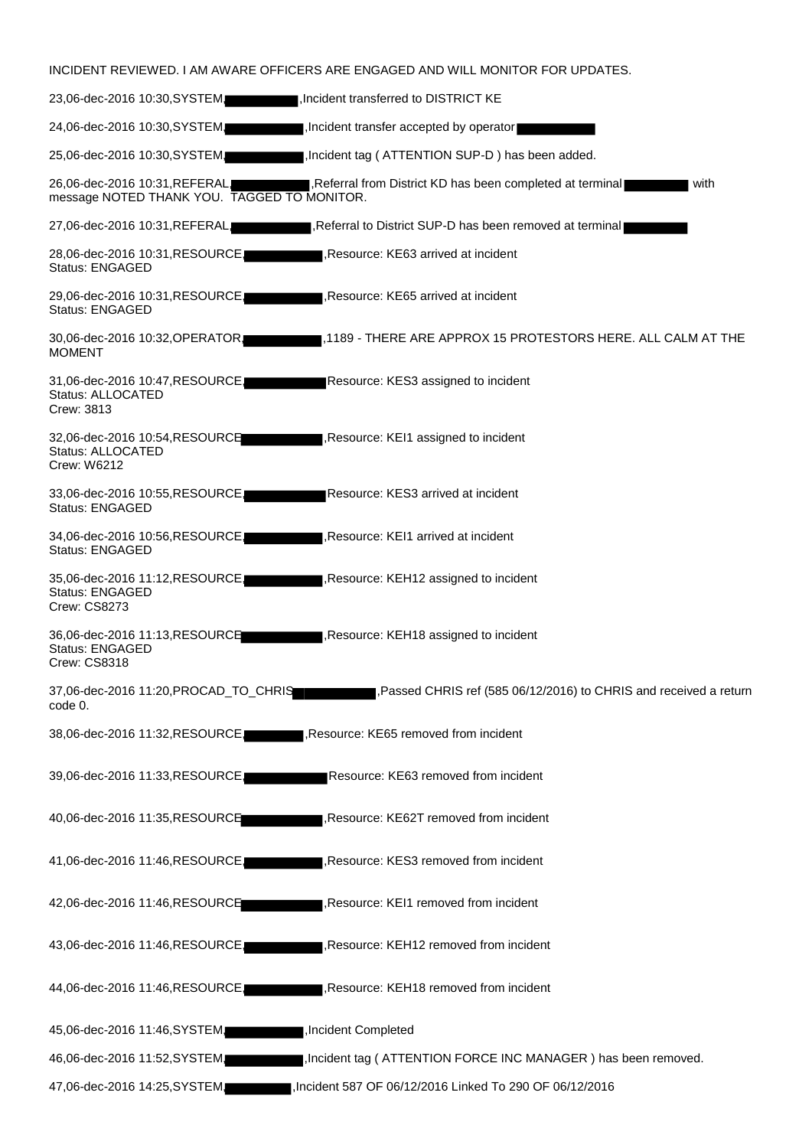|                                                                                | INCIDENT REVIEWED. I AM AWARE OFFICERS ARE ENGAGED AND WILL MONITOR FOR UPDATES. |
|--------------------------------------------------------------------------------|----------------------------------------------------------------------------------|
| 23,06-dec-2016 10:30, SYSTEM.                                                  | Incident transferred to DISTRICT KE                                              |
| 24,06-dec-2016 10:30, SYSTEM                                                   | Incident transfer accepted by operator                                           |
| 25,06-dec-2016 10:30, SYSTEM                                                   | Incident tag (ATTENTION SUP-D) has been added.                                   |
| 26,06-dec-2016 10:31, REFERAL,<br>message NOTED THANK YOU. TAGGED TO MONITOR.  | Referral from District KD has been completed at terminal<br>with                 |
| 27,06-dec-2016 10:31, REFERAL                                                  | Referral to District SUP-D has been removed at terminal                          |
| 28,06-dec-2016 10:31, RESOURCE,<br><b>Status: ENGAGED</b>                      | Resource: KE63 arrived at incident                                               |
| 29,06-dec-2016 10:31,RESOURCE,<br>Status: ENGAGED                              | Resource: KE65 arrived at incident                                               |
| 30,06-dec-2016 10:32, OPERATOR<br><b>MOMENT</b>                                | 1189 - THERE ARE APPROX 15 PROTESTORS HERE. ALL CALM AT THE                      |
| 31,06-dec-2016 10:47, RESOURCE,<br>Status: ALLOCATED<br>Crew: 3813             | Resource: KES3 assigned to incident                                              |
| 32,06-dec-2016 10:54, RESOURCE<br>Status: ALLOCATED<br>Crew: W6212             | Resource: KEI1 assigned to incident                                              |
| 33,06-dec-2016 10:55,RESOURCE.<br><b>Status: ENGAGED</b>                       | Resource: KES3 arrived at incident                                               |
| 34,06-dec-2016 10:56, RESOURCE,<br><b>Status: ENGAGED</b>                      | Resource: KEI1 arrived at incident                                               |
| 35,06-dec-2016 11:12, RESOURCE,<br><b>Status: ENGAGED</b><br>Crew: CS8273      | Resource: KEH12 assigned to incident                                             |
| 36,06-dec-2016 11:13,RESOURCE<br><b>Status: ENGAGED</b><br><b>Crew: CS8318</b> | Resource: KEH18 assigned to incident                                             |
| 37,06-dec-2016 11:20, PROCAD_TO_CHRIS<br>code 0.                               | , Passed CHRIS ref (585 06/12/2016) to CHRIS and received a return               |
| 38,06-dec-2016 11:32, RESOURCE,                                                | Resource: KE65 removed from incident                                             |
| 39,06-dec-2016 11:33, RESOURCE,                                                | Resource: KE63 removed from incident                                             |
| 40,06-dec-2016 11:35,RESOURCE                                                  | Resource: KE62T removed from incident                                            |
| 41,06-dec-2016 11:46,RESOURCE,                                                 | Resource: KES3 removed from incident                                             |
| 42,06-dec-2016 11:46,RESOURCE                                                  | Resource: KEI1 removed from incident                                             |
| 43,06-dec-2016 11:46, RESOURCE,                                                | Resource: KEH12 removed from incident                                            |
| 44,06-dec-2016 11:46, RESOURCE,                                                | Resource: KEH18 removed from incident                                            |
| 45,06-dec-2016 11:46, SYSTEM,                                                  | Incident Completed                                                               |
| 46,06-dec-2016 11:52, SYSTEM,                                                  | Incident tag (ATTENTION FORCE INC MANAGER) has been removed.                     |
| 47,06-dec-2016 14:25, SYSTEM,                                                  | Incident 587 OF 06/12/2016 Linked To 290 OF 06/12/2016,                          |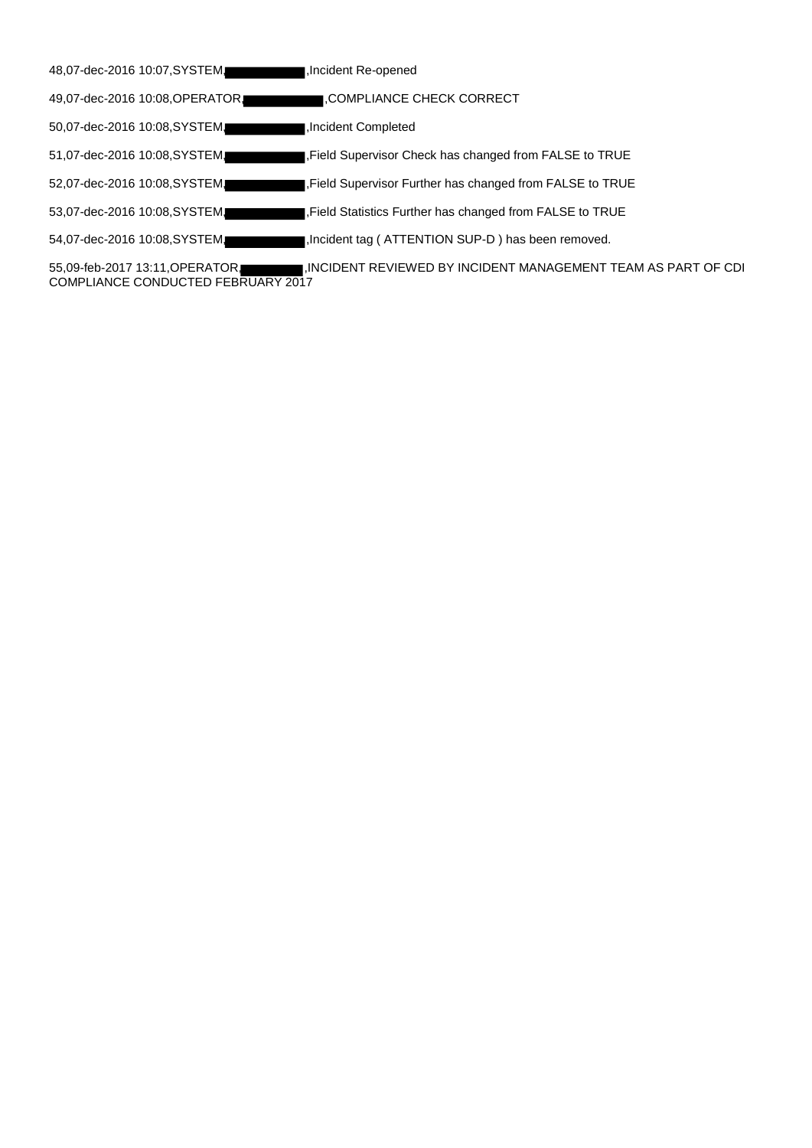| 48,07-dec-2016 10:07, SYSTEM.  | Incident Re-opened                                                 |
|--------------------------------|--------------------------------------------------------------------|
| 49,07-dec-2016 10:08, OPERATOR | I.COMPLIANCE CHECK CORRECT                                         |
| 50,07-dec-2016 10:08, SYSTEM.  | Incident Completed                                                 |
| 51,07-dec-2016 10:08, SYSTEM.  | Field Supervisor Check has changed from FALSE to TRUE              |
| 52,07-dec-2016 10:08, SYSTEM.  | I, Field Supervisor Further has changed from FALSE to TRUE         |
| 53,07-dec-2016 10:08, SYSTEM.  | Field Statistics Further has changed from FALSE to TRUE            |
| 54,07-dec-2016 10:08, SYSTEM   | Incident tag (ATTENTION SUP-D) has been removed.                   |
|                                | – IN OIRENT REVIEWER BY INOIRENT MANIA OF JENT TE AM A O RART OF . |

55,09-feb-2017 13:11,OPERATOR, ,INCIDENT REVIEWED BY INCIDENT MANAGEMENT TEAM AS PART OF CDI COMPLIANCE CONDUCTED FEBRUARY 2017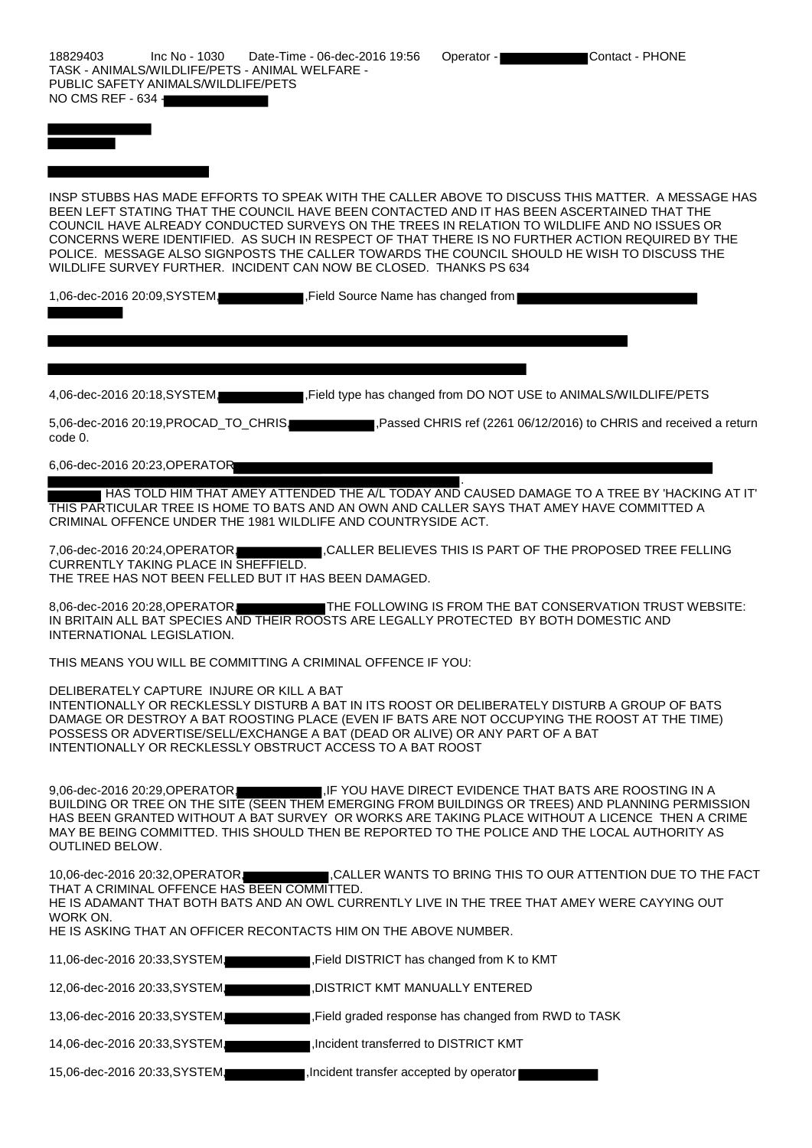18829403 Inc No - 1030 Date-Time - 06-dec-2016 19:56 Operator - Contact - PHONE TASK - ANIMALS/WILDLIFE/PETS - ANIMAL WELFARE - PUBLIC SAFETY ANIMALS/WILDLIFE/PETS NO CMS REF - 634 -

INSP STUBBS HAS MADE EFFORTS TO SPEAK WITH THE CALLER ABOVE TO DISCUSS THIS MATTER. A MESSAGE HAS BEEN LEFT STATING THAT THE COUNCIL HAVE BEEN CONTACTED AND IT HAS BEEN ASCERTAINED THAT THE COUNCIL HAVE ALREADY CONDUCTED SURVEYS ON THE TREES IN RELATION TO WILDLIFE AND NO ISSUES OR CONCERNS WERE IDENTIFIED. AS SUCH IN RESPECT OF THAT THERE IS NO FURTHER ACTION REQUIRED BY THE POLICE. MESSAGE ALSO SIGNPOSTS THE CALLER TOWARDS THE COUNCIL SHOULD HE WISH TO DISCUSS THE WILDLIFE SURVEY FURTHER. INCIDENT CAN NOW BE CLOSED. THANKS PS 634

1,06-dec-2016 20:09, SYSTEM, Field Source Name has changed from

4,06-dec-2016 20:18,SYSTEM, ,Field type has changed from DO NOT USE to ANIMALS/WILDLIFE/PETS

5,06-dec-2016 20:19,PROCAD\_TO\_CHRIS, ,Passed CHRIS ref (2261 06/12/2016) to CHRIS and received a return code 0.

6,06-dec-2016 20:23,OPERATOR

. HAS TOLD HIM THAT AMEY ATTENDED THE A/L TODAY AND CAUSED DAMAGE TO A TREE BY 'HACKING AT IT' THIS PARTICULAR TREE IS HOME TO BATS AND AN OWN AND CALLER SAYS THAT AMEY HAVE COMMITTED A CRIMINAL OFFENCE UNDER THE 1981 WILDLIFE AND COUNTRYSIDE ACT.

7,06-dec-2016 20:24, OPERATOR, CALLER BELIEVES THIS IS PART OF THE PROPOSED TREE FELLING CURRENTLY TAKING PLACE IN SHEFFIELD. THE TREE HAS NOT BEEN FELLED BUT IT HAS BEEN DAMAGED.

8,06-dec-2016 20:28, OPERATOR, THE FOLLOWING IS FROM THE BAT CONSERVATION TRUST WEBSITE: IN BRITAIN ALL BAT SPECIES AND THEIR ROOSTS ARE LEGALLY PROTECTED BY BOTH DOMESTIC AND INTERNATIONAL LEGISLATION.

THIS MEANS YOU WILL BE COMMITTING A CRIMINAL OFFENCE IF YOU:

DELIBERATELY CAPTURE INJURE OR KILL A BAT

INTENTIONALLY OR RECKLESSLY DISTURB A BAT IN ITS ROOST OR DELIBERATELY DISTURB A GROUP OF BATS DAMAGE OR DESTROY A BAT ROOSTING PLACE (EVEN IF BATS ARE NOT OCCUPYING THE ROOST AT THE TIME) POSSESS OR ADVERTISE/SELL/EXCHANGE A BAT (DEAD OR ALIVE) OR ANY PART OF A BAT INTENTIONALLY OR RECKLESSLY OBSTRUCT ACCESS TO A BAT ROOST

9,06-dec-2016 20:29, OPERATOR, THE YOU HAVE DIRECT EVIDENCE THAT BATS ARE ROOSTING IN A BUILDING OR TREE ON THE SITE (SEEN THEM EMERGING FROM BUILDINGS OR TREES) AND PLANNING PERMISSION HAS BEEN GRANTED WITHOUT A BAT SURVEY OR WORKS ARE TAKING PLACE WITHOUT A LICENCE THEN A CRIME MAY BE BEING COMMITTED. THIS SHOULD THEN BE REPORTED TO THE POLICE AND THE LOCAL AUTHORITY AS OUTLINED BELOW.

10,06-dec-2016 20:32,OPERATOR, ,CALLER WANTS TO BRING THIS TO OUR ATTENTION DUE TO THE FACT THAT A CRIMINAL OFFENCE HAS BEEN COMMITTED. HE IS ADAMANT THAT BOTH BATS AND AN OWL CURRENTLY LIVE IN THE TREE THAT AMEY WERE CAYYING OUT WORK ON. HE IS ASKING THAT AN OFFICER RECONTACTS HIM ON THE ABOVE NUMBER. 11,06-dec-2016 20:33,SYSTEM, Field DISTRICT has changed from K to KMT 12,06-dec-2016 20:33,SYSTEM, ,DISTRICT KMT MANUALLY ENTERED 13,06-dec-2016 20:33,SYSTEM, Field graded response has changed from RWD to TASK

14,06-dec-2016 20:33,SYSTEM, ,Incident transferred to DISTRICT KMT

15,06-dec-2016 20:33,SYSTEM, ,Incident transfer accepted by operator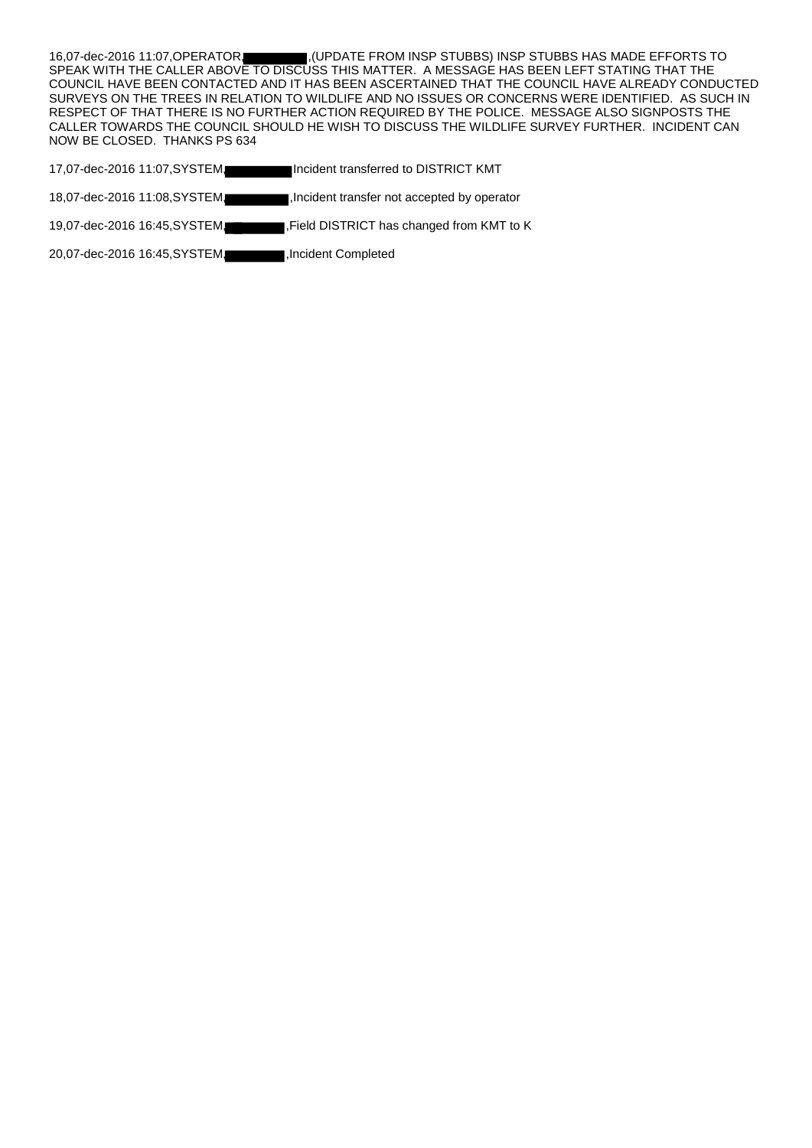16,07-dec-2016 11:07, OPERATOR, (UPDATE FROM INSP STUBBS) INSP STUBBS HAS MADE EFFORTS TO SPEAK WITH THE CALLER ABOVE TO DISCUSS THIS MATTER. A MESSAGE HAS BEEN LEFT STATING THAT THE COUNCIL HAVE BEEN CONTACTED AND IT HAS BEEN ASCERTAINED THAT THE COUNCIL HAVE ALREADY CONDUCTED SURVEYS ON THE TREES IN RELATION TO WILDLIFE AND NO ISSUES OR CONCERNS WERE IDENTIFIED. AS SUCH IN RESPECT OF THAT THERE IS NO FURTHER ACTION REQUIRED BY THE POLICE. MESSAGE ALSO SIGNPOSTS THE CALLER TOWARDS THE COUNCIL SHOULD HE WISH TO DISCUSS THE WILDLIFE SURVEY FURTHER. INCIDENT CAN NOW BE CLOSED. THANKS PS 634

- 17,07-dec-2016 11:07,SYSTEM, Incident transferred to DISTRICT KMT
- 18,07-dec-2016 11:08,SYSTEM, ,Incident transfer not accepted by operator
- 19,07-dec-2016 16:45,SYSTEM, ,Field DISTRICT has changed from KMT to K
- 20,07-dec-2016 16:45,SYSTEM, ,Incident Completed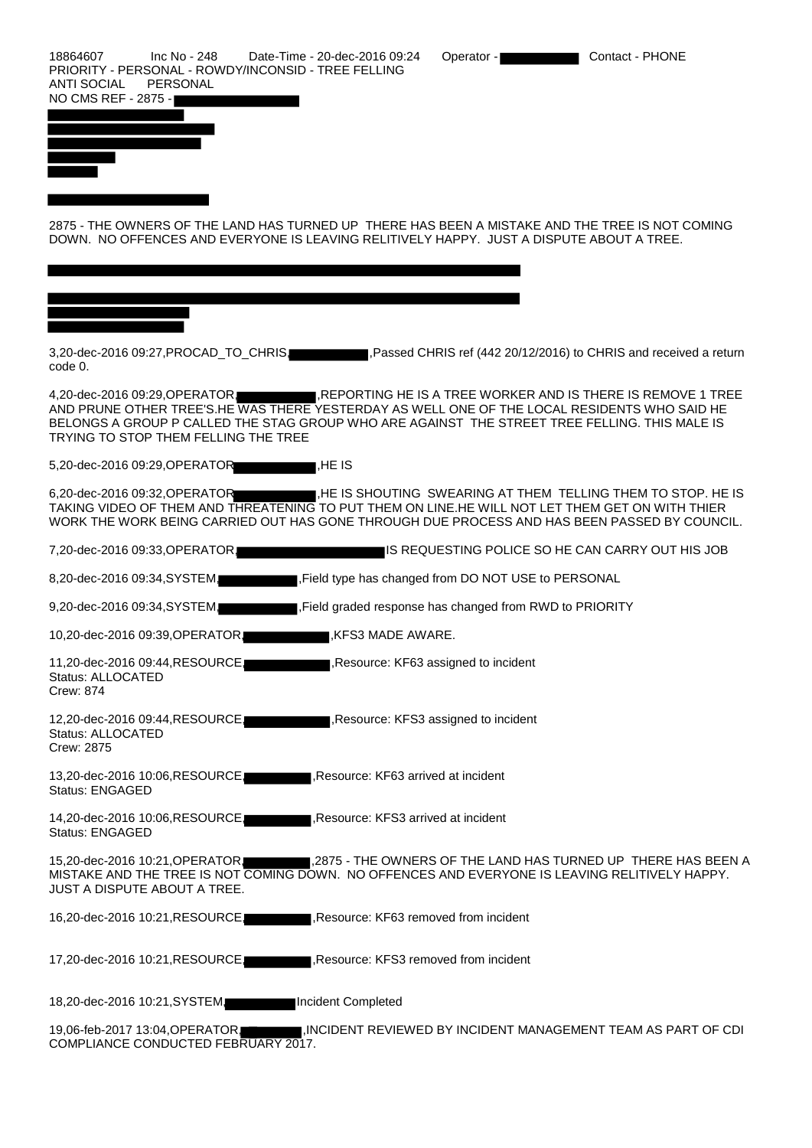18864607 Inc No - 248 Date-Time - 20-dec-2016 09:24 Operator - Contact - PHONE PRIORITY - PERSONAL - ROWDY/INCONSID - TREE FELLING ANTI SOCIAL PERSONAL NO CMS REF - 2875



2875 - THE OWNERS OF THE LAND HAS TURNED UP THERE HAS BEEN A MISTAKE AND THE TREE IS NOT COMING DOWN. NO OFFENCES AND EVERYONE IS LEAVING RELITIVELY HAPPY. JUST A DISPUTE ABOUT A TREE.

3,20-dec-2016 09:27, PROCAD\_TO\_CHRIS, ,Passed CHRIS ref (442 20/12/2016) to CHRIS and received a return code 0.

4,20-dec-2016 09:29, OPERATOR, REPORTING HE IS A TREE WORKER AND IS THERE IS REMOVE 1 TREE AND PRUNE OTHER TREE'S.HE WAS THERE YESTERDAY AS WELL ONE OF THE LOCAL RESIDENTS WHO SAID HE BELONGS A GROUP P CALLED THE STAG GROUP WHO ARE AGAINST THE STREET TREE FELLING. THIS MALE IS TRYING TO STOP THEM FELLING THE TREE

5,20-dec-2016 09:29, OPERATOR ,HE IS

6,20-dec-2016 09:32, OPERATOR ,HE IS SHOUTING SWEARING AT THEM TELLING THEM TO STOP. HE IS TAKING VIDEO OF THEM AND THREATENING TO PUT THEM ON LINE.HE WILL NOT LET THEM GET ON WITH THIER WORK THE WORK BEING CARRIED OUT HAS GONE THROUGH DUE PROCESS AND HAS BEEN PASSED BY COUNCIL.

7,20-dec-2016 09:33,OPERATOR, IS REQUESTING POLICE SO HE CAN CARRY OUT HIS JOB

8,20-dec-2016 09:34, SYSTEM  $\blacksquare$  . Field type has changed from DO NOT USE to PERSONAL

9,20-dec-2016 09:34, SYSTEM, Field graded response has changed from RWD to PRIORITY

10,20-dec-2016 09:39, OPERATOR, KFS3 MADE AWARE.

11,20-dec-2016 09:44, RESOURCE, ,Resource: KF63 assigned to incident Status: ALLOCATED Crew: 874

12,20-dec-2016 09:44, RESOURCE, ,Resource: KFS3 assigned to incident Status: ALLOCATED Crew: 2875

13,20-dec-2016 10:06,RESOURCE, ,Resource: KF63 arrived at incident Status: ENGAGED

14,20-dec-2016 10:06,RESOURCE, ,Resource: KFS3 arrived at incident Status: ENGAGED

15,20-dec-2016 10:21,OPERATOR, ,2875 - THE OWNERS OF THE LAND HAS TURNED UP THERE HAS BEEN A MISTAKE AND THE TREE IS NOT COMING DOWN. NO OFFENCES AND EVERYONE IS LEAVING RELITIVELY HAPPY. JUST A DISPUTE ABOUT A TREE.

16,20-dec-2016 10:21, RESOURCE, Resource: KF63 removed from incident

17,20-dec-2016 10:21, RESOURCE, Resource: KFS3 removed from incident

18,20-dec-2016 10:21,SYSTEM, Incident Completed

19,06-feb-2017 13:04, OPERATOR, MICIDENT REVIEWED BY INCIDENT MANAGEMENT TEAM AS PART OF CDI COMPLIANCE CONDUCTED FEBRUARY 2017.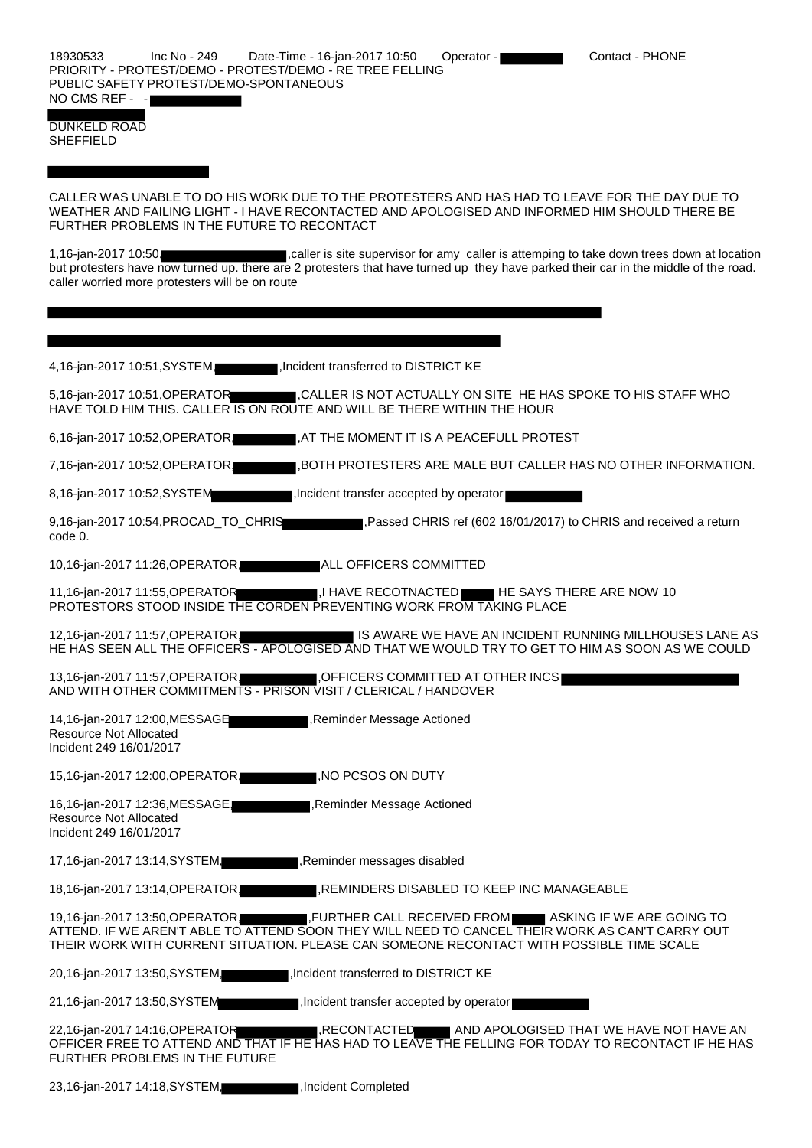DUNKELD ROAD SHEFFIELD

CALLER WAS UNABLE TO DO HIS WORK DUE TO THE PROTESTERS AND HAS HAD TO LEAVE FOR THE DAY DUE TO WEATHER AND FAILING LIGHT - I HAVE RECONTACTED AND APOLOGISED AND INFORMED HIM SHOULD THERE BE FURTHER PROBLEMS IN THE FUTURE TO RECONTACT

1,16-jan-2017 10:50, caller is site supervisor for amy caller is attemping to take down trees down at location but protesters have now turned up. there are 2 protesters that have turned up they have parked their car in the middle of the road. caller worried more protesters will be on route

| 4,16-jan-2017 10:51, SYSTEM<br>■, Incident transferred to DISTRICT KE                                                                                                                                                                                                                 |
|---------------------------------------------------------------------------------------------------------------------------------------------------------------------------------------------------------------------------------------------------------------------------------------|
| 5,16-jan-2017 10:51, OPERATOR<br>∎,CALLER IS NOT ACTUALLY ON SITE HE HAS SPOKE TO HIS STAFF WHO<br>HAVE TOLD HIM THIS. CALLER IS ON ROUTE AND WILL BE THERE WITHIN THE HOUR                                                                                                           |
| 6,16-jan-2017 10:52, OPERATOR<br>I,AT THE MOMENT IT IS A PEACEFULL PROTEST                                                                                                                                                                                                            |
| 7,16-jan-2017 10:52, OPERATOR<br>∥,BOTH PROTESTERS ARE MALE BUT CALLER HAS NO OTHER INFORMATION.                                                                                                                                                                                      |
| 8,16-jan-2017 10:52, SYSTEM<br>Incident transfer accepted by operator                                                                                                                                                                                                                 |
| 9,16-jan-2017 10:54, PROCAD_TO_CHRIS<br>Passed CHRIS ref (602 16/01/2017) to CHRIS and received a return<br>code 0.                                                                                                                                                                   |
| 10,16-jan-2017 11:26, OPERATOR<br>ALL OFFICERS COMMITTED                                                                                                                                                                                                                              |
| 11,16-jan-2017 11:55, OPERATOR<br>$\blacksquare$ ,I HAVE RECOTNACTED $\blacksquare$ HE SAYS THERE ARE NOW 10<br>PROTESTORS STOOD INSIDE THE CORDEN PREVENTING WORK FROM TAKING PLACE                                                                                                  |
| IS AWARE WE HAVE AN INCIDENT RUNNING MILLHOUSES LANE AS<br>12,16-jan-2017 11:57, OPERATOR<br>HE HAS SEEN ALL THE OFFICERS - APOLOGISED AND THAT WE WOULD TRY TO GET TO HIM AS SOON AS WE COULD                                                                                        |
| 13,16-jan-2017 11:57, OPERATOR,<br>OFFICERS COMMITTED AT OTHER INCS<br>AND WITH OTHER COMMITMENTS - PRISON VISIT / CLERICAL / HANDOVER                                                                                                                                                |
| 14,16-jan-2017 12:00, MESSAGE<br>Reminder Message Actioned<br><b>Resource Not Allocated</b><br>Incident 249 16/01/2017                                                                                                                                                                |
| 15,16-jan-2017 12:00, OPERATOR<br>NO PCSOS ON DUTY                                                                                                                                                                                                                                    |
| 16,16-jan-2017 12:36, MESSAGE<br>, Reminder Message Actioned<br><b>Resource Not Allocated</b><br>Incident 249 16/01/2017                                                                                                                                                              |
| 17,16-jan-2017 13:14, SYSTEM<br>Reminder messages disabled,                                                                                                                                                                                                                           |
| 18,16-jan-2017 13:14, OPERATOR,<br>REMINDERS DISABLED TO KEEP INC MANAGEABLE,                                                                                                                                                                                                         |
| FURTHER CALL RECEIVED FROM ASKING IF WE ARE GOING TO<br>19,16-jan-2017 13:50, OPERATOR<br>ATTEND. IF WE AREN'T ABLE TO ATTEND SOON THEY WILL NEED TO CANCEL THEIR WORK AS CAN'T CARRY OUT<br>THEIR WORK WITH CURRENT SITUATION. PLEASE CAN SOMEONE RECONTACT WITH POSSIBLE TIME SCALE |
| 20,16-jan-2017 13:50, SYSTEM,<br>Incident transferred to DISTRICT KE                                                                                                                                                                                                                  |
| 21,16-jan-2017 13:50, SYSTEM<br>Incident transfer accepted by operator                                                                                                                                                                                                                |
| 22,16-jan-2017 14:16, OPERATOR<br>RECONTACTED AND APOLOGISED THAT WE HAVE NOT HAVE AN<br>OFFICER FREE TO ATTEND AND THAT IF HE HAS HAD TO LEAVE THE FELLING FOR TODAY TO RECONTACT IF HE HAS<br>FURTHER PROBLEMS IN THE FUTURE                                                        |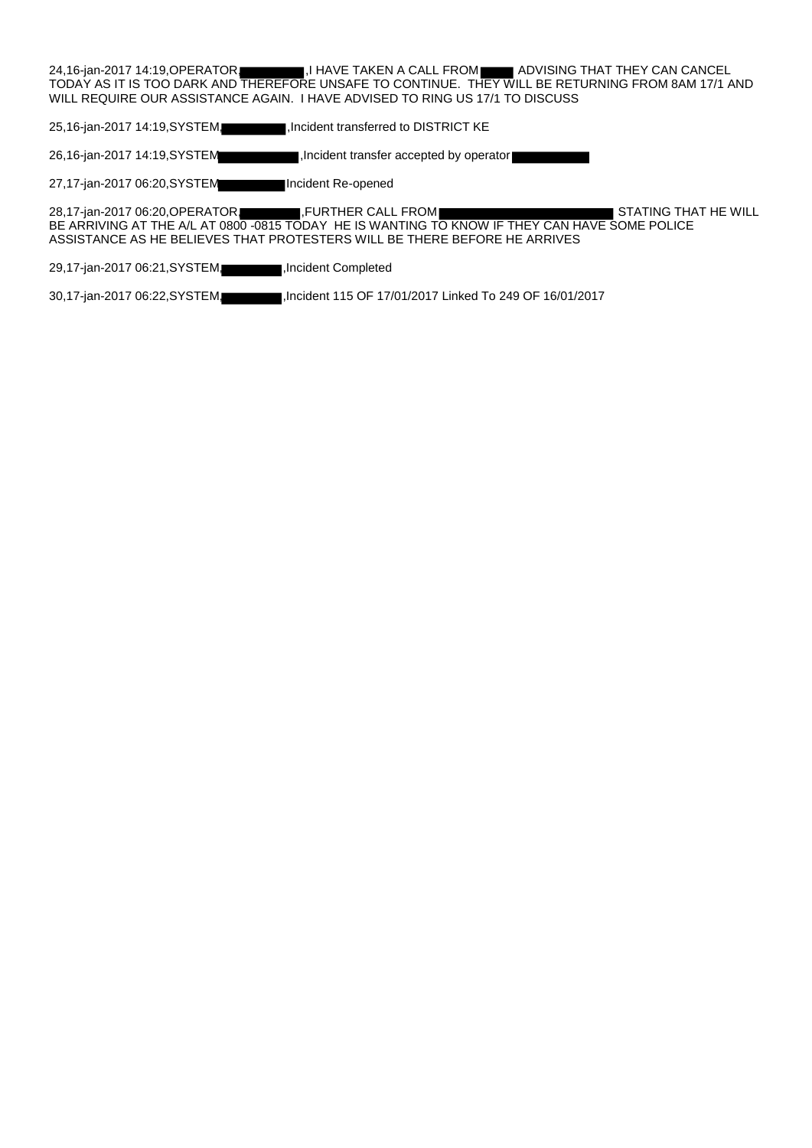24,16-jan-2017 14:19, OPERATOR, I HAVE TAKEN A CALL FROM ADVISING THAT THEY CAN CANCEL TODAY AS IT IS TOO DARK AND THEREFORE UNSAFE TO CONTINUE. THEY WILL BE RETURNING FROM 8AM 17/1 AND WILL REQUIRE OUR ASSISTANCE AGAIN. I HAVE ADVISED TO RING US 17/1 TO DISCUSS

25,16-jan-2017 14:19,SYSTEM, ,Incident transferred to DISTRICT KE

26,16-jan-2017 14:19,SYSTEM ,Incident transfer accepted by operator

27,17-jan-2017 06:20,SYSTEM Incident Re-opened

28,17-jan-2017 06:20, OPERATOR, FURTHER CALL FROM STATING THAT HE WILL BE ARRIVING AT THE A/L AT 0800 -0815 TODAY HE IS WANTING TO KNOW IF THEY CAN HAVE SOME POLICE ASSISTANCE AS HE BELIEVES THAT PROTESTERS WILL BE THERE BEFORE HE ARRIVES

29,17-jan-2017 06:21, SYSTEM, ,Incident Completed

30,17-jan-2017 06:22,SYSTEM, ,Incident 115 OF 17/01/2017 Linked To 249 OF 16/01/2017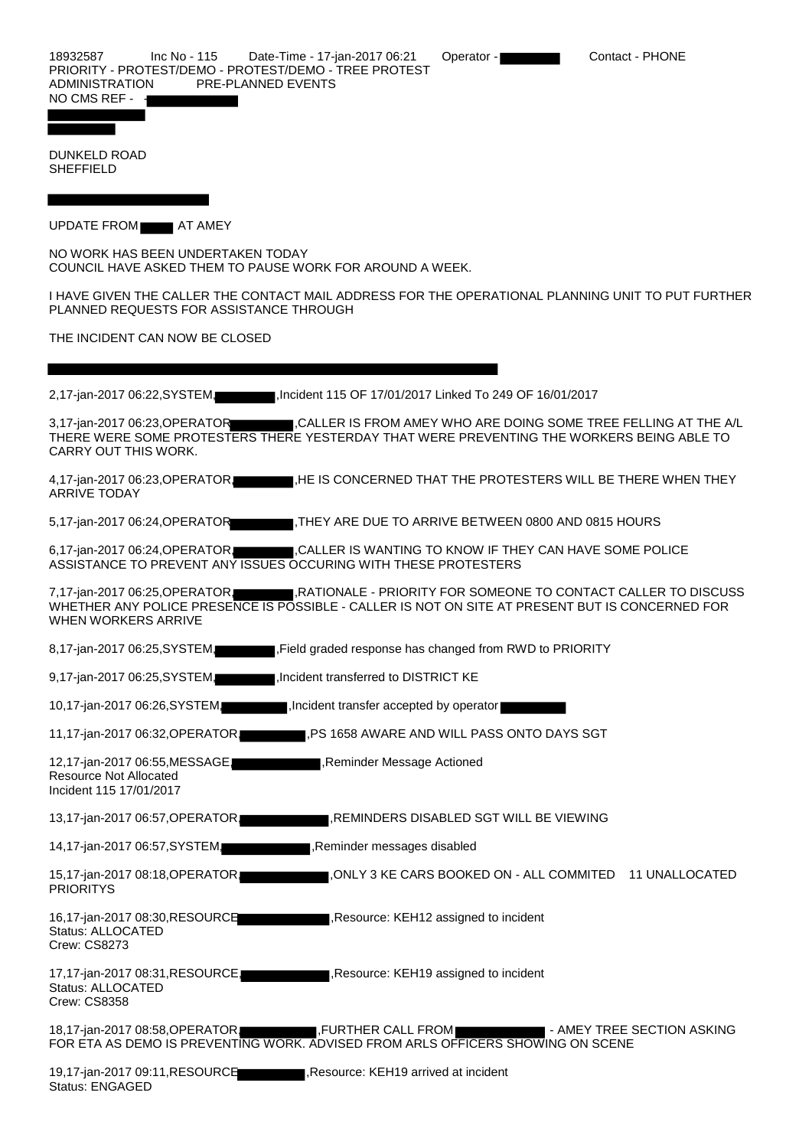DUNKELD ROAD **SHEFFIELD** 

UPDATE FROM **AT AMEY** 

NO WORK HAS BEEN UNDERTAKEN TODAY COUNCIL HAVE ASKED THEM TO PAUSE WORK FOR AROUND A WEEK.

I HAVE GIVEN THE CALLER THE CONTACT MAIL ADDRESS FOR THE OPERATIONAL PLANNING UNIT TO PUT FURTHER PLANNED REQUESTS FOR ASSISTANCE THROUGH

THE INCIDENT CAN NOW BE CLOSED

2,17-jan-2017 06:22,SYSTEM, ,Incident 115 OF 17/01/2017 Linked To 249 OF 16/01/2017

3,17-jan-2017 06:23,OPERATOR ,CALLER IS FROM AMEY WHO ARE DOING SOME TREE FELLING AT THE A/L THERE WERE SOME PROTESTERS THERE YESTERDAY THAT WERE PREVENTING THE WORKERS BEING ABLE TO CARRY OUT THIS WORK.

4,17-jan-2017 06:23, OPERATOR, ,HE IS CONCERNED THAT THE PROTESTERS WILL BE THERE WHEN THEY ARRIVE TODAY

5,17-jan-2017 06:24, OPERATOR ,THEY ARE DUE TO ARRIVE BETWEEN 0800 AND 0815 HOURS

6,17-jan-2017 06:24, OPERATOR, CALLER IS WANTING TO KNOW IF THEY CAN HAVE SOME POLICE ASSISTANCE TO PREVENT ANY ISSUES OCCURING WITH THESE PROTESTERS

7,17-jan-2017 06:25, OPERATOR, RATIONALE - PRIORITY FOR SOMEONE TO CONTACT CALLER TO DISCUSS WHETHER ANY POLICE PRESENCE IS POSSIBLE - CALLER IS NOT ON SITE AT PRESENT BUT IS CONCERNED FOR WHEN WORKERS ARRIVE

- 8,17-jan-2017 06:25, SYSTEM, Field graded response has changed from RWD to PRIORITY
- 9,17-jan-2017 06:25, SYSTEM, ,Incident transferred to DISTRICT KE

10,17-jan-2017 06:26,SYSTEM, ,Incident transfer accepted by operator

11,17-jan-2017 06:32, OPERATOR, FS 1658 AWARE AND WILL PASS ONTO DAYS SGT

12,17-jan-2017 06:55, MESSAGE, Reminder Message Actioned Resource Not Allocated

- 13,17-jan-2017 06:57, OPERATOR, **All and School And Tana Reminders DISABLED SGT WILL BE VIEWING**
- 14,17-jan-2017 06:57.SYSTEM

15,17-jan-2017 08:18,OPERATOR, ,ONLY 3 KE CARS BOOKED ON - ALL COMMITED 11 UNALLOCATED **PRIORITYS** 

16,17-jan-2017 08:30, RESOURCE ,Resource: KEH12 assigned to incident Status: ALLOCATED Crew: CS8273

Incident 115 17/01/2017

17,17-jan-2017 08:31,RESOURCE, ,Resource: KEH19 assigned to incident Status: ALLOCATED Crew: CS8358

18,17-jan-2017 08:58,OPERATOR, FURTHER CALL FROM FROM THE SECTION ASKING FOR ETA AS DEMO IS PREVENTING WORK. ADVISED FROM ARLS OFFICERS SHOWING ON SCENE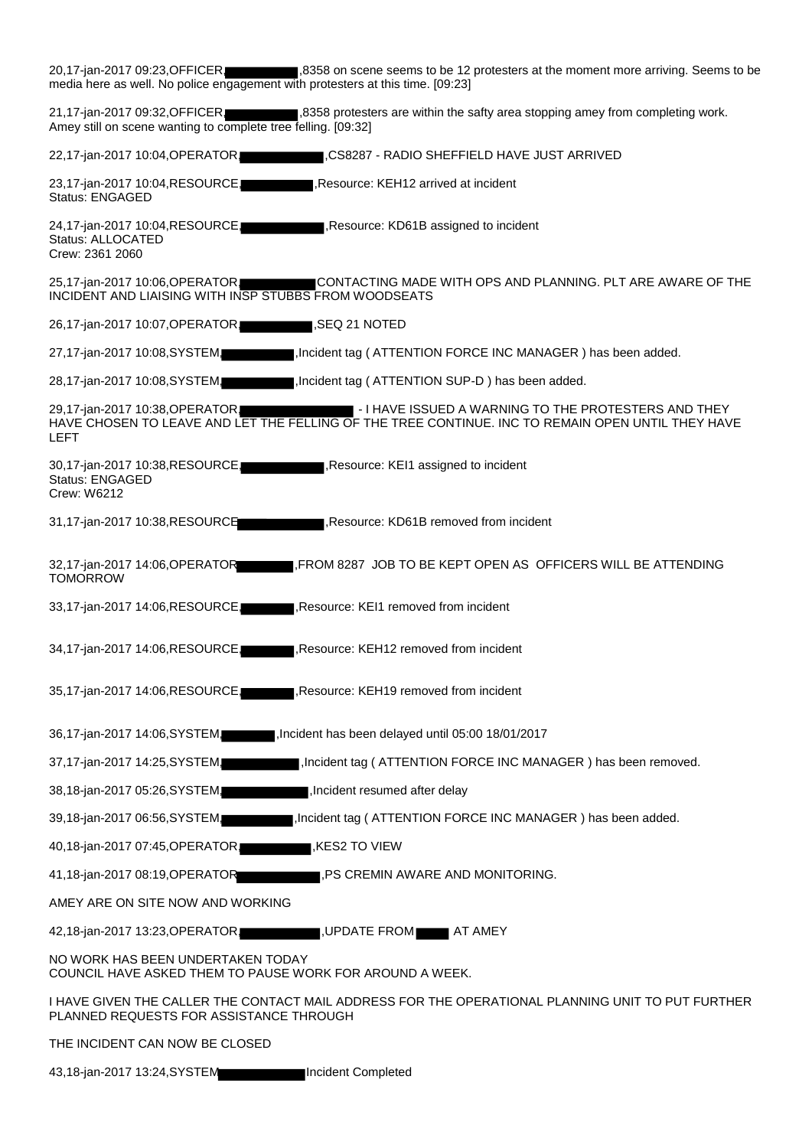| 20,17-jan-2017 09:23, OFFICER<br>media here as well. No police engagement with protesters at this time. [09:23] | 1,8358 on scene seems to be 12 protesters at the moment more arriving. Seems to be                                                                        |
|-----------------------------------------------------------------------------------------------------------------|-----------------------------------------------------------------------------------------------------------------------------------------------------------|
| 21,17-jan-2017 09:32, OFFICER.<br>Amey still on scene wanting to complete tree felling. [09:32]                 | 8358 protesters are within the safty area stopping amey from completing work.                                                                             |
| 22,17-jan-2017 10:04, OPERATOR,                                                                                 | I,CS8287 - RADIO SHEFFIELD HAVE JUST ARRIVED                                                                                                              |
| 23,17-jan-2017 10:04, RESOURCE,<br><b>Status: ENGAGED</b>                                                       | , Resource: KEH12 arrived at incident                                                                                                                     |
| 24,17-jan-2017 10:04,RESOURCE,<br>Status: ALLOCATED<br>Crew: 2361 2060                                          | Resource: KD61B assigned to incident                                                                                                                      |
| 25,17-jan-2017 10:06, OPERATOR<br>INCIDENT AND LIAISING WITH INSP STUBBS FROM WOODSEATS                         | CONTACTING MADE WITH OPS AND PLANNING. PLT ARE AWARE OF THE                                                                                               |
| 26,17-jan-2017 10:07, OPERATOR                                                                                  | ,SEQ 21 NOTED                                                                                                                                             |
| 27,17-jan-2017 10:08, SYSTEM                                                                                    | , Incident tag (ATTENTION FORCE INC MANAGER) has been added.                                                                                              |
| 28,17-jan-2017 10:08,SYSTEM,                                                                                    | Incident tag (ATTENTION SUP-D) has been added.                                                                                                            |
| 29,17-jan-2017 10:38, OPERATOR<br><b>LEFT</b>                                                                   | - I HAVE ISSUED A WARNING TO THE PROTESTERS AND THEY<br>HAVE CHOSEN TO LEAVE AND LET THE FELLING OF THE TREE CONTINUE. INC TO REMAIN OPEN UNTIL THEY HAVE |
| 30,17-jan-2017 10:38, RESOURCE,<br><b>Status: ENGAGED</b><br>Crew: W6212                                        | Resource: KEI1 assigned to incident                                                                                                                       |
| 31,17-jan-2017 10:38, RESOURCE                                                                                  | Resource: KD61B removed from incident                                                                                                                     |
| 32,17-jan-2017 14:06, OPERATOR<br><b>TOMORROW</b>                                                               | FROM 8287 JOB TO BE KEPT OPEN AS OFFICERS WILL BE ATTENDING,                                                                                              |
| 33,17-jan-2017 14:06,RESOURCE,                                                                                  | , Resource: KEI1 removed from incident                                                                                                                    |
| 34,17-jan-2017 14:06, RESOURCE,                                                                                 | Resource: KEH12 removed from incident                                                                                                                     |
| 35,17-jan-2017 14:06,RESOURCE,                                                                                  | , Resource: KEH19 removed from incident                                                                                                                   |
| 36,17-jan-2017 14:06,SYSTEM,                                                                                    | Incident has been delayed until 05:00 18/01/2017                                                                                                          |
| 37,17-jan-2017 14:25, SYSTEM,                                                                                   | Incident tag (ATTENTION FORCE INC MANAGER) has been removed.                                                                                              |
| 38,18-jan-2017 05:26, SYSTEM,                                                                                   | Incident resumed after delay,                                                                                                                             |
| 39,18-jan-2017 06:56, SYSTEM.                                                                                   | I, Incident tag (ATTENTION FORCE INC MANAGER) has been added.                                                                                             |
| 40,18-jan-2017 07:45, OPERATOR                                                                                  | KES2 TO VIEW,                                                                                                                                             |
| 41,18-jan-2017 08:19, OPERATOR                                                                                  | PS CREMIN AWARE AND MONITORING.                                                                                                                           |
| AMEY ARE ON SITE NOW AND WORKING                                                                                |                                                                                                                                                           |
| 42,18-jan-2017 13:23, OPERATOR                                                                                  | JUPDATE FROM <b>AT AMEY</b>                                                                                                                               |
| NO WORK HAS BEEN UNDERTAKEN TODAY<br>COUNCIL HAVE ASKED THEM TO PAUSE WORK FOR AROUND A WEEK.                   |                                                                                                                                                           |
| PLANNED REQUESTS FOR ASSISTANCE THROUGH                                                                         | I HAVE GIVEN THE CALLER THE CONTACT MAIL ADDRESS FOR THE OPERATIONAL PLANNING UNIT TO PUT FURTHER                                                         |
| THE INCIDENT CAN NOW BE CLOSED                                                                                  |                                                                                                                                                           |
| 43,18-jan-2017 13:24, SYSTEM                                                                                    | Incident Completed                                                                                                                                        |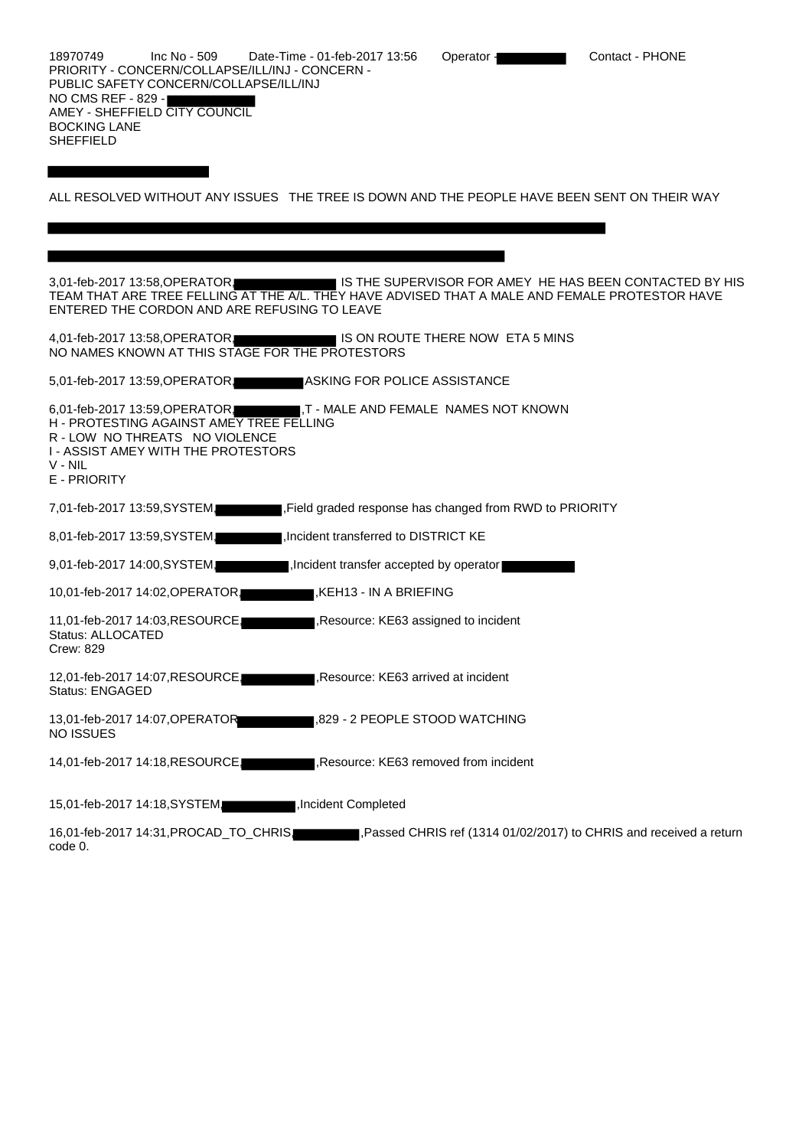18970749 Inc No - 509 Date-Time - 01-feb-2017 13:56 Operator - Contact - PHONE PRIORITY - CONCERN/COLLAPSE/ILL/INJ - CONCERN - PUBLIC SAFETY CONCERN/COLLAPSE/ILL/INJ NO CMS REF - 829 - AMEY - SHEFFIELD CITY COUNCIL BOCKING LANE SHEFFIELD

ALL RESOLVED WITHOUT ANY ISSUES THE TREE IS DOWN AND THE PEOPLE HAVE BEEN SENT ON THEIR WAY

3,01-feb-2017 13:58,OPERATOR, IS THE SUPERVISOR FOR AMEY HE HAS BEEN CONTACTED BY HIS TEAM THAT ARE TREE FELLING AT THE A/L. THEY HAVE ADVISED THAT A MALE AND FEMALE PROTESTOR HAVE ENTERED THE CORDON AND ARE REFUSING TO LEAVE

4,01-feb-2017 13:58, OPERATOR, IS ON ROUTE THERE NOW ETA 5 MINS NO NAMES KNOWN AT THIS STAGE FOR THE PROTESTORS

5,01-feb-2017 13:59, OPERATOR, ASKING FOR POLICE ASSISTANCE

6,01-feb-2017 13:59,OPERATOR, T - MALE AND FEMALE NAMES NOT KNOWN H - PROTESTING AGAINST AMEY TREE FELLING R - LOW NO THREATS NO VIOLENCE I - ASSIST AMEY WITH THE PROTESTORS V - NIL E - PRIORITY 7,01-feb-2017 13:59,SYSTEM, Field graded response has changed from RWD to PRIORITY 8,01-feb-2017 13:59, SYSTEM, ,Incident transferred to DISTRICT KE 9,01-feb-2017 14:00, SYSTEM, ,Incident transfer accepted by operator

10,01-feb-2017 14:02, OPERATOR, ,KEH13 - IN A BRIEFING

11,01-feb-2017 14:03,RESOURCE, Resource: KE63 assigned to incident Status: ALLOCATED Crew: 829

12,01-feb-2017 14:07, RESOURCE, ,Resource: KE63 arrived at incident Status: ENGAGED

13,01-feb-2017 14:07,OPERATOR ,829 - 2 PEOPLE STOOD WATCHING NO ISSUES

14,01-feb-2017 14:18, RESOURCE, Resource: KE63 removed from incident

15,01-feb-2017 14:18,SYSTEM, ,Incident Completed

16,01-feb-2017 14:31,PROCAD\_TO\_CHRIS, ,Passed CHRIS ref (1314 01/02/2017) to CHRIS and received a return code 0.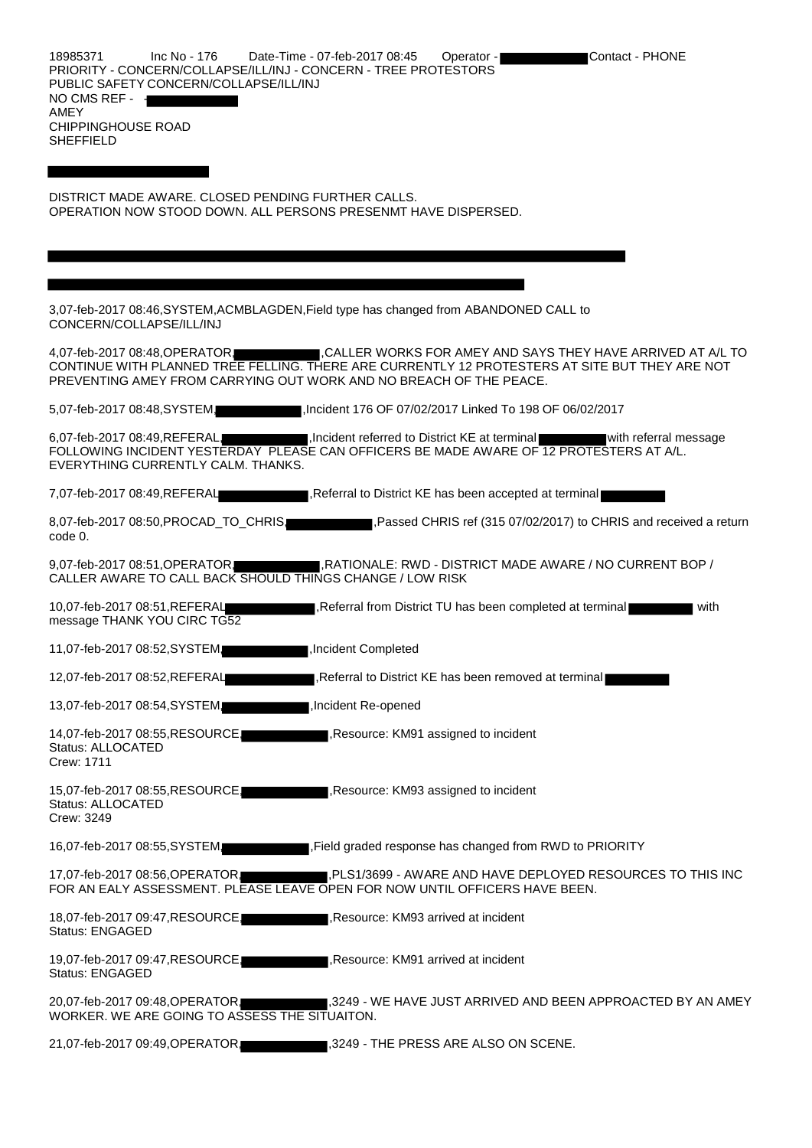DISTRICT MADE AWARE. CLOSED PENDING FURTHER CALLS. OPERATION NOW STOOD DOWN. ALL PERSONS PRESENMT HAVE DISPERSED.

| 3,07-feb-2017 08:46, SYSTEM, ACMBLAGDEN, Field type has changed from ABANDONED CALL to<br>CONCERN/COLLAPSE/ILL/INJ                                                                                                                                               |
|------------------------------------------------------------------------------------------------------------------------------------------------------------------------------------------------------------------------------------------------------------------|
| 4,07-feb-2017 08:48,OPERATOR. CALLER WORKS FOR AMEY AND SAYS THEY HAVE ARRIVED AT A/L TO<br>CONTINUE WITH PLANNED TREE FELLING. THERE ARE CURRENTLY 12 PROTESTERS AT SITE BUT THEY ARE NOT<br>PREVENTING AMEY FROM CARRYING OUT WORK AND NO BREACH OF THE PEACE. |
| Incident 176 OF 07/02/2017 Linked To 198 OF 06/02/2017<br>5,07-feb-2017 08:48, SYSTEM,                                                                                                                                                                           |
| 6,07-feb-2017 08:49, REFERAL, Incident referred to District KE at terminal with referral message<br>FOLLOWING INCIDENT YESTERDAY PLEASE CAN OFFICERS BE MADE AWARE OF 12 PROTESTERS AT A/L.<br>EVERYTHING CURRENTLY CALM. THANKS.                                |
| 7,07-feb-2017 08:49, REFERAL<br>Referral to District KE has been accepted at terminal                                                                                                                                                                            |
| , Passed CHRIS ref (315 07/02/2017) to CHRIS and received a return<br>8,07-feb-2017 08:50, PROCAD_TO_CHRIS<br>code 0.                                                                                                                                            |
| 9,07-feb-2017 08:51, OPERATOR, RATIONALE: RWD - DISTRICT MADE AWARE / NO CURRENT BOP /<br>CALLER AWARE TO CALL BACK SHOULD THINGS CHANGE / LOW RISK                                                                                                              |
| 10,07-feb-2017 08:51, REFERAL<br>, Referral from District TU has been completed at terminal<br>with<br>message THANK YOU CIRC TG52                                                                                                                               |
| 11,07-feb-2017 08:52, SYSTEM,<br>Incident Completed                                                                                                                                                                                                              |
| 12,07-feb-2017 08:52, REFERAL<br>Referral to District KE has been removed at terminal                                                                                                                                                                            |
| 13,07-feb-2017 08:54, SYSTEM,<br>Incident Re-opened                                                                                                                                                                                                              |
| 14,07-feb-2017 08:55, RESOURCE,<br>, Resource: KM91 assigned to incident<br>Status: ALLOCATED<br>Crew: 1711                                                                                                                                                      |
| Resource: KM93 assigned to incident<br>15,07-feb-2017 08:55, RESOURCE.<br><b>Status: ALLOCATED</b><br>Crew: 3249                                                                                                                                                 |
| Field graded response has changed from RWD to PRIORITY<br>16,07-feb-2017 08:55, SYSTEM                                                                                                                                                                           |
| ,PLS1/3699 - AWARE AND HAVE DEPLOYED RESOURCES TO THIS INC<br>17,07-feb-2017 08:56, OPERATOR,<br>FOR AN EALY ASSESSMENT. PLEASE LEAVE OPEN FOR NOW UNTIL OFFICERS HAVE BEEN.                                                                                     |
| 18,07-feb-2017 09:47, RESOURCE,<br>Resource: KM93 arrived at incident<br><b>Status: ENGAGED</b>                                                                                                                                                                  |
| 19,07-feb-2017 09:47, RESOURCE.<br>, Resource: KM91 arrived at incident<br>Status: ENGAGED                                                                                                                                                                       |
| 20,07-feb-2017 09:48, OPERATOR, 2007 1,3249 - WE HAVE JUST ARRIVED AND BEEN APPROACTED BY AN AMEY<br>WORKER. WE ARE GOING TO ASSESS THE SITUAITON.                                                                                                               |

21,07-feb-2017 09:49, OPERATOR, 3249 - THE PRESS ARE ALSO ON SCENE.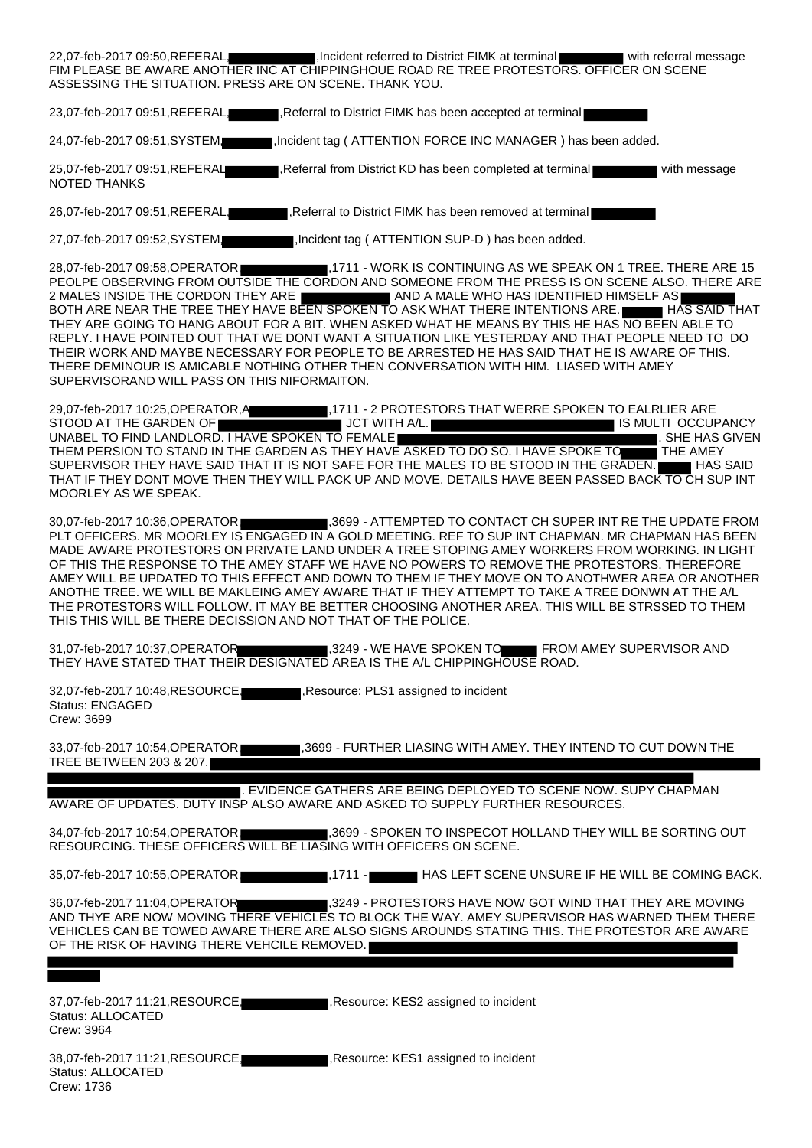| FIM PLEASE BE AWARE ANOTHER INC AT CHIPPINGHOUE ROAD RE TREE PROTESTORS. OFFICER ON SCENE<br>ASSESSING THE SITUATION. PRESS ARE ON SCENE. THANK YOU.                                                                                                                                                                                                                                                                                                                                                                                                                                                                                                                                                                                                                                                                                                 |
|------------------------------------------------------------------------------------------------------------------------------------------------------------------------------------------------------------------------------------------------------------------------------------------------------------------------------------------------------------------------------------------------------------------------------------------------------------------------------------------------------------------------------------------------------------------------------------------------------------------------------------------------------------------------------------------------------------------------------------------------------------------------------------------------------------------------------------------------------|
| 23,07-feb-2017 09:51, REFERAL, Referral to District FIMK has been accepted at terminal                                                                                                                                                                                                                                                                                                                                                                                                                                                                                                                                                                                                                                                                                                                                                               |
| 24,07-feb-2017 09:51,SYSTEM. Incident tag ( ATTENTION FORCE INC MANAGER ) has been added.                                                                                                                                                                                                                                                                                                                                                                                                                                                                                                                                                                                                                                                                                                                                                            |
| 25,07-feb-2017 09:51, REFERAL<br>Referral from District KD has been completed at terminal<br>with message<br><b>NOTED THANKS</b>                                                                                                                                                                                                                                                                                                                                                                                                                                                                                                                                                                                                                                                                                                                     |
| 26,07-feb-2017 09:51, REFERAL, Referral to District FIMK has been removed at terminal                                                                                                                                                                                                                                                                                                                                                                                                                                                                                                                                                                                                                                                                                                                                                                |
| 27,07-feb-2017 09:52,SYSTEM, Incident tag (ATTENTION SUP-D) has been added.                                                                                                                                                                                                                                                                                                                                                                                                                                                                                                                                                                                                                                                                                                                                                                          |
| 28,07-feb-2017 09:58, OPERATOR, 7111 - WORK IS CONTINUING AS WE SPEAK ON 1 TREE. THERE ARE 15<br>PEOLPE OBSERVING FROM OUTSIDE THE CORDON AND SOMEONE FROM THE PRESS IS ON SCENE ALSO. THERE ARE<br>2 MALES INSIDE THE CORDON THEY ARE <b>A REPORT OF A MALE WHO HAS IDENTIFIED HIMSELF AS</b><br>BOTH ARE NEAR THE TREE THEY HAVE BEEN SPOKEN TO ASK WHAT THERE INTENTIONS ARE. HE HAS SAID THAT<br>THEY ARE GOING TO HANG ABOUT FOR A BIT. WHEN ASKED WHAT HE MEANS BY THIS HE HAS NO BEEN ABLE TO<br>REPLY. I HAVE POINTED OUT THAT WE DONT WANT A SITUATION LIKE YESTERDAY AND THAT PEOPLE NEED TO DO<br>THEIR WORK AND MAYBE NECESSARY FOR PEOPLE TO BE ARRESTED HE HAS SAID THAT HE IS AWARE OF THIS.<br>THERE DEMINOUR IS AMICABLE NOTHING OTHER THEN CONVERSATION WITH HIM. LIASED WITH AMEY<br>SUPERVISORAND WILL PASS ON THIS NIFORMAITON. |
| 29,07-feb-2017 10:25, OPERATOR, A 1711 - 2 PROTESTORS THAT WERRE SPOKEN TO EALRLIER ARE<br>STOOD AT THE GARDEN OF <b>THE SECOND THE STOOD AT THE GARDEN OF</b><br>IS MULTI OCCUPANCY<br>UNABEL TO FIND LANDLORD. I HAVE SPOKEN TO FEMALE<br>SHE HAS GIVEN<br>THEM PERSION TO STAND IN THE GARDEN AS THEY HAVE ASKED TO DO SO. I HAVE SPOKE TO THE AMEY<br>SUPERVISOR THEY HAVE SAID THAT IT IS NOT SAFE FOR THE MALES TO BE STOOD IN THE GRADEN. THAS SAID<br>THAT IF THEY DONT MOVE THEN THEY WILL PACK UP AND MOVE. DETAILS HAVE BEEN PASSED BACK TO CH SUP INT<br>MOORLEY AS WE SPEAK.                                                                                                                                                                                                                                                            |
| 30,07-feb-2017 10:36,OPERATOR, 3699 - ATTEMPTED TO CONTACT CH SUPER INT RE THE UPDATE FROM<br>PLT OFFICERS. MR MOORLEY IS ENGAGED IN A GOLD MEETING. REF TO SUP INT CHAPMAN. MR CHAPMAN HAS BEEN<br>MADE AWARE PROTESTORS ON PRIVATE LAND UNDER A TREE STOPING AMEY WORKERS FROM WORKING. IN LIGHT<br>OF THIS THE RESPONSE TO THE AMEY STAFF WE HAVE NO POWERS TO REMOVE THE PROTESTORS. THEREFORE<br>AMEY WILL BE UPDATED TO THIS EFFECT AND DOWN TO THEM IF THEY MOVE ON TO ANOTHWER AREA OR ANOTHER<br>ANOTHE TREE. WE WILL BE MAKLEING AMEY AWARE THAT IF THEY ATTEMPT TO TAKE A TREE DONWN AT THE A/L<br>THE PROTESTORS WILL FOLLOW. IT MAY BE BETTER CHOOSING ANOTHER AREA. THIS WILL BE STRSSED TO THEM<br>THIS THIS WILL BE THERE DECISSION AND NOT THAT OF THE POLICE.                                                                      |
| 31,07-feb-2017 10:37, OPERATOR<br>3249 - WE HAVE SPOKEN TO<br>FROM AMEY SUPERVISOR AND<br>THEY HAVE STATED THAT THEIR DESIGNATED AREA IS THE A/L CHIPPINGHOUSE ROAD.                                                                                                                                                                                                                                                                                                                                                                                                                                                                                                                                                                                                                                                                                 |
| Resource: PLS1 assigned to incident<br>32,07-feb-2017 10:48, RESOURCE<br><b>Status: ENGAGED</b><br>Crew: 3699                                                                                                                                                                                                                                                                                                                                                                                                                                                                                                                                                                                                                                                                                                                                        |
| 33,07-feb-2017 10:54, OPERATOR<br>,3699 - FURTHER LIASING WITH AMEY. THEY INTEND TO CUT DOWN THE<br>TREE BETWEEN 203 & 207.                                                                                                                                                                                                                                                                                                                                                                                                                                                                                                                                                                                                                                                                                                                          |
| . EVIDENCE GATHERS ARE BEING DEPLOYED TO SCENE NOW. SUPY CHAPMAN<br>AWARE OF UPDATES. DUTY INSP ALSO AWARE AND ASKED TO SUPPLY FURTHER RESOURCES.                                                                                                                                                                                                                                                                                                                                                                                                                                                                                                                                                                                                                                                                                                    |
| 34,07-feb-2017 10:54,OPERATOR. 3699 - SPOKEN TO INSPECOT HOLLAND THEY WILL BE SORTING OUT<br>RESOURCING. THESE OFFICERS WILL BE LIASING WITH OFFICERS ON SCENE.                                                                                                                                                                                                                                                                                                                                                                                                                                                                                                                                                                                                                                                                                      |
| 35,07-feb-2017 10:55,OPERATOR<br>HAS LEFT SCENE UNSURE IF HE WILL BE COMING BACK.<br>$\blacksquare$ ,1711 - $\blacksquare$                                                                                                                                                                                                                                                                                                                                                                                                                                                                                                                                                                                                                                                                                                                           |
| 3249 - PROTESTORS HAVE NOW GOT WIND THAT THEY ARE MOVING<br>36,07-feb-2017 11:04,OPERATOR<br>AND THYE ARE NOW MOVING THERE VEHICLES TO BLOCK THE WAY. AMEY SUPERVISOR HAS WARNED THEM THERE<br>VEHICLES CAN BE TOWED AWARE THERE ARE ALSO SIGNS AROUNDS STATING THIS. THE PROTESTOR ARE AWARE<br>OF THE RISK OF HAVING THERE VEHCILE REMOVED.                                                                                                                                                                                                                                                                                                                                                                                                                                                                                                        |
|                                                                                                                                                                                                                                                                                                                                                                                                                                                                                                                                                                                                                                                                                                                                                                                                                                                      |
| 37,07-feb-2017 11:21, RESOURCE,<br>Resource: KES2 assigned to incident<br>Status: ALLOCATED<br>Crew: 3964                                                                                                                                                                                                                                                                                                                                                                                                                                                                                                                                                                                                                                                                                                                                            |
| Resource: KES1 assigned to incident<br>38,07-feb-2017 11:21, RESOURCE<br>$C_{\text{totuo}}$ $\Lambda$ <sub>LI</sub> $\Omega$ $\Lambda$ TED                                                                                                                                                                                                                                                                                                                                                                                                                                                                                                                                                                                                                                                                                                           |

Status: ALLOCATED Crew: 1736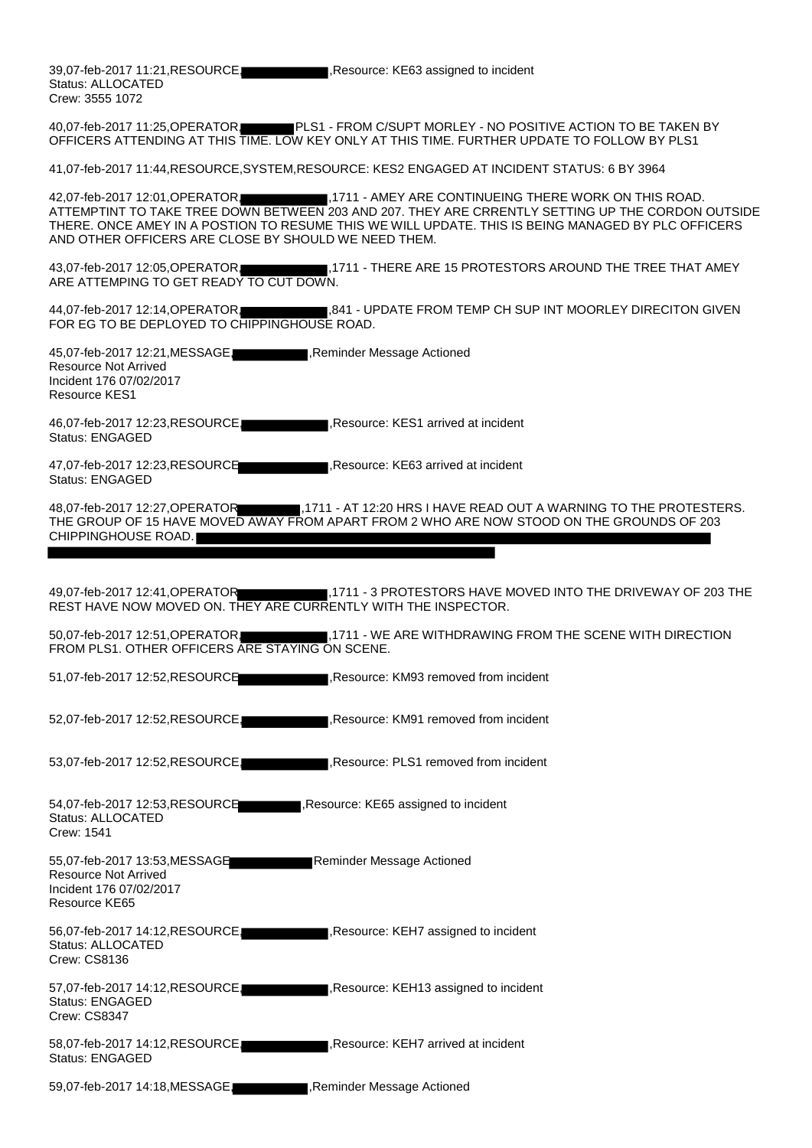39,07-feb-2017 11:21, RESOURCE, Resource: KE63 assigned to incident Status: ALLOCATED Crew: 3555 1072

40,07-feb-2017 11:25,OPERATOR, PLS1 - FROM C/SUPT MORLEY - NO POSITIVE ACTION TO BE TAKEN BY OFFICERS ATTENDING AT THIS TIME. LOW KEY ONLY AT THIS TIME. FURTHER UPDATE TO FOLLOW BY PLS1

41,07-feb-2017 11:44,RESOURCE,SYSTEM,RESOURCE: KES2 ENGAGED AT INCIDENT STATUS: 6 BY 3964

42,07-feb-2017 12:01, OPERATOR, 1711 - AMEY ARE CONTINUEING THERE WORK ON THIS ROAD. ATTEMPTINT TO TAKE TREE DOWN BETWEEN 203 AND 207. THEY ARE CRRENTLY SETTING UP THE CORDON OUTSIDE THERE. ONCE AMEY IN A POSTION TO RESUME THIS WE WILL UPDATE. THIS IS BEING MANAGED BY PLC OFFICERS AND OTHER OFFICERS ARE CLOSE BY SHOULD WE NEED THEM.

43,07-feb-2017 12:05, OPERATOR, ,1711 - THERE ARE 15 PROTESTORS AROUND THE TREE THAT AMEY ARE ATTEMPING TO GET READY TO CUT DOWN.

44,07-feb-2017 12:14,OPERATOR, ,841 - UPDATE FROM TEMP CH SUP INT MOORLEY DIRECITON GIVEN FOR EG TO BE DEPLOYED TO CHIPPINGHOUSE ROAD.

45,07-feb-2017 12:21, MESSAGE, ,Reminder Message Actioned Resource Not Arrived Incident 176 07/02/2017 Resource KES1

46,07-feb-2017 12:23, RESOURCE, ,Resource: KES1 arrived at incident Status: ENGAGED

47,07-feb-2017 12:23,RESOURCE ,Resource: KE63 arrived at incident Status: ENGAGED

48,07-feb-2017 12:27,OPERATOR ,1711 - AT 12:20 HRS I HAVE READ OUT A WARNING TO THE PROTESTERS. THE GROUP OF 15 HAVE MOVED AWAY FROM APART FROM 2 WHO ARE NOW STOOD ON THE GROUNDS OF 203 CHIPPINGHOUSE ROAD.

49,07-feb-2017 12:41,OPERATOR ,1711 - 3 PROTESTORS HAVE MOVED INTO THE DRIVEWAY OF 203 THE REST HAVE NOW MOVED ON. THEY ARE CURRENTLY WITH THE INSPECTOR.

50,07-feb-2017 12:51, OPERATOR, , 1711 - WE ARE WITHDRAWING FROM THE SCENE WITH DIRECTION FROM PLS1. OTHER OFFICERS ARE STAYING ON SCENE.

51,07-feb-2017 12:52,RESOURCE ,Resource: KM93 removed from incident

52,07-feb-2017 12:52, RESOURCE, ,Resource: KM91 removed from incident

53,07-feb-2017 12:52, RESOURCE, ,Resource: PLS1 removed from incident

54,07-feb-2017 12:53, RESOURCE ,Resource: KE65 assigned to incident Status: ALLOCATED Crew: 1541

55,07-feb-2017 13:53, MESSAGE Reminder Message Actioned Resource Not Arrived Incident 176 07/02/2017 Resource KE65

56,07-feb-2017 14:12, RESOURCE, Resource: KEH7 assigned to incident Status: ALLOCATED Crew: CS8136

57,07-feb-2017 14:12,RESOURCE Resource: KEH13 assigned to incident Status: ENGAGED Crew: CS8347

58,07-feb-2017 14:12, RESOURCE, ,Resource: KEH7 arrived at incident Status: ENGAGED

59,07-feb-2017 14:18, MESSAGE, ,Reminder Message Actioned